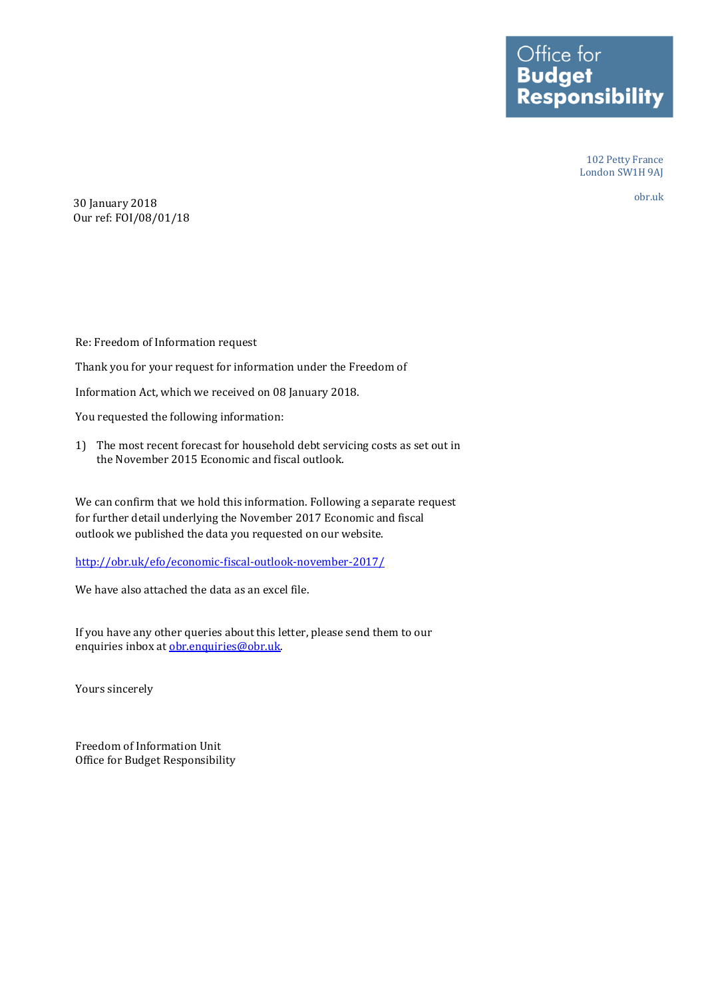Office for<br>**Budget<br>Responsibility** 

102 Petty France London SW1H 9AJ

obr.uk

30 January 2018 Our ref: FOI/08/01/18

Re: Freedom of Information request Thank you for your request for information under the Freedom of Information Act, which we received on 08 January 2018.

You requested the following information:

1) The most recent forecast for household debt servicing costs as set out in the November 2015 Economic and fiscal outlook.

We can confirm that we hold this information. Following a separate request for further detail underlying the November 2017 Economic and fiscal outlook we published the data you requested on our website.

<http://obr.uk/efo/economic-fiscal-outlook-november-2017/>

We have also attached the data as an excel file.

If you have any other queries about this letter, please send them to our enquiries inbox at [obr.enquiries@obr.uk.](mailto:obr.enquiries@obr.uk)

Yours sincerely

Freedom of Information Unit Office for Budget Responsibility